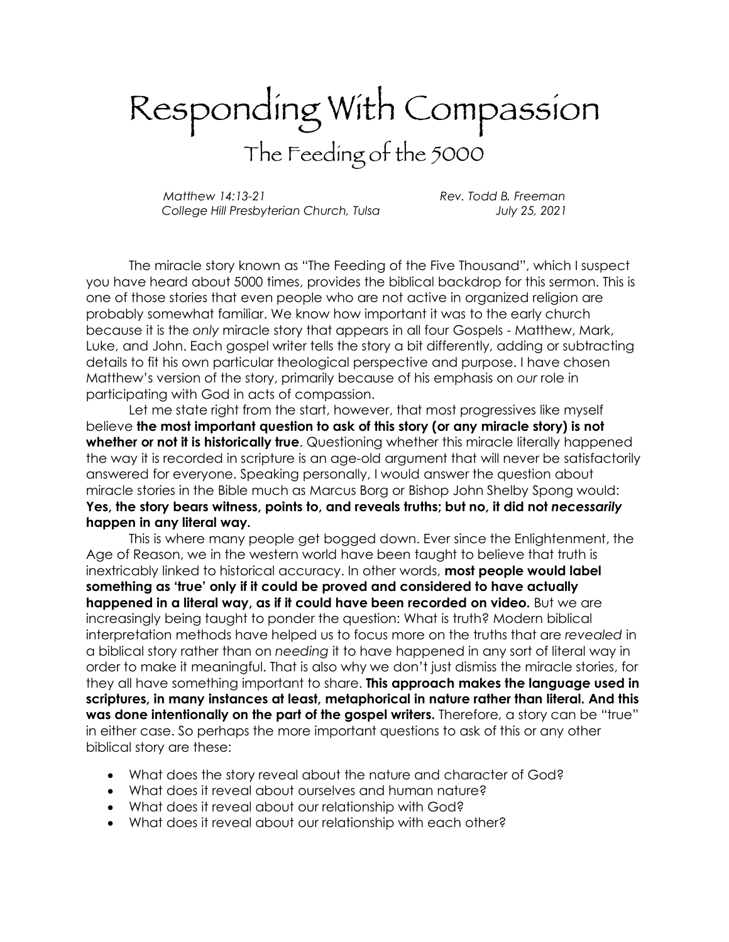## Responding With Compassion The Feeding of the 5000

*Matthew 14:13-21 Rev. Todd B. Freeman College Hill Presbyterian Church, Tulsa July 25, 2021*

The miracle story known as "The Feeding of the Five Thousand", which I suspect you have heard about 5000 times, provides the biblical backdrop for this sermon. This is one of those stories that even people who are not active in organized religion are probably somewhat familiar. We know how important it was to the early church because it is the *only* miracle story that appears in all four Gospels - Matthew, Mark, Luke, and John. Each gospel writer tells the story a bit differently, adding or subtracting details to fit his own particular theological perspective and purpose. I have chosen Matthew's version of the story, primarily because of his emphasis on *our* role in participating with God in acts of compassion.

Let me state right from the start, however, that most progressives like myself believe **the most important question to ask of this story (or any miracle story) is not whether or not it is historically true**. Questioning whether this miracle literally happened the way it is recorded in scripture is an age-old argument that will never be satisfactorily answered for everyone. Speaking personally, I would answer the question about miracle stories in the Bible much as Marcus Borg or Bishop John Shelby Spong would: **Yes, the story bears witness, points to, and reveals truths; but no, it did not** *necessarily* **happen in any literal way.**

This is where many people get bogged down. Ever since the Enlightenment, the Age of Reason, we in the western world have been taught to believe that truth is inextricably linked to historical accuracy. In other words, **most people would label something as 'true' only if it could be proved and considered to have actually happened in a literal way, as if it could have been recorded on video.** But we are increasingly being taught to ponder the question: What is truth? Modern biblical interpretation methods have helped us to focus more on the truths that are *revealed* in a biblical story rather than on *needing* it to have happened in any sort of literal way in order to make it meaningful. That is also why we don't just dismiss the miracle stories, for they all have something important to share. **This approach makes the language used in scriptures, in many instances at least, metaphorical in nature rather than literal. And this** was done intentionally on the part of the gospel writers. Therefore, a story can be "true" in either case. So perhaps the more important questions to ask of this or any other biblical story are these:

- What does the story reveal about the nature and character of God?
- What does it reveal about ourselves and human nature?
- What does it reveal about our relationship with God?
- What does it reveal about our relationship with each other?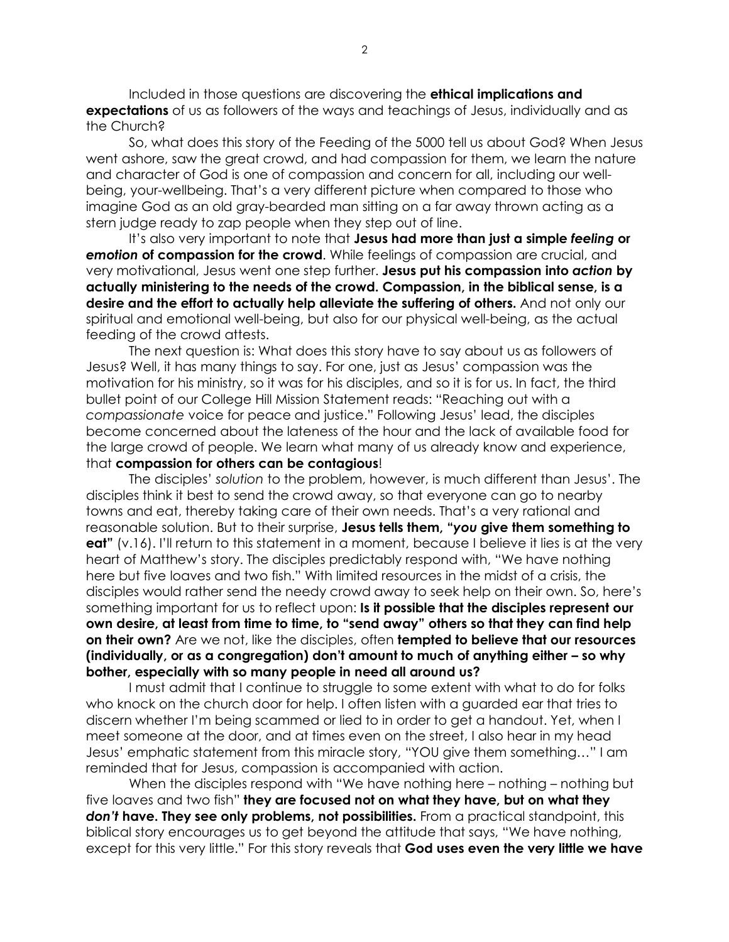Included in those questions are discovering the **ethical implications and expectations** of us as followers of the ways and teachings of Jesus, individually and as the Church?

So, what does this story of the Feeding of the 5000 tell us about God? When Jesus went ashore, saw the great crowd, and had compassion for them, we learn the nature and character of God is one of compassion and concern for all, including our wellbeing, your-wellbeing. That's a very different picture when compared to those who imagine God as an old gray-bearded man sitting on a far away thrown acting as a stern judge ready to zap people when they step out of line.

It's also very important to note that **Jesus had more than just a simple** *feeling* **or**  *emotion* **of compassion for the crowd**. While feelings of compassion are crucial, and very motivational, Jesus went one step further. **Jesus put his compassion into** *action* **by actually ministering to the needs of the crowd. Compassion, in the biblical sense, is a desire and the effort to actually help alleviate the suffering of others.** And not only our spiritual and emotional well-being, but also for our physical well-being, as the actual feeding of the crowd attests.

The next question is: What does this story have to say about us as followers of Jesus? Well, it has many things to say. For one, just as Jesus' compassion was the motivation for his ministry, so it was for his disciples, and so it is for us. In fact, the third bullet point of our College Hill Mission Statement reads: "Reaching out with a *compassionate* voice for peace and justice." Following Jesus' lead, the disciples become concerned about the lateness of the hour and the lack of available food for the large crowd of people. We learn what many of us already know and experience, that **compassion for others can be contagious**!

The disciples' *solution* to the problem, however, is much different than Jesus'. The disciples think it best to send the crowd away, so that everyone can go to nearby towns and eat, thereby taking care of their own needs. That's a very rational and reasonable solution. But to their surprise, **Jesus tells them, "***you* **give them something to eat"** (v.16). I'll return to this statement in a moment, because I believe it lies is at the very heart of Matthew's story. The disciples predictably respond with, "We have nothing here but five loaves and two fish." With limited resources in the midst of a crisis, the disciples would rather send the needy crowd away to seek help on their own. So, here's something important for us to reflect upon: **Is it possible that the disciples represent our own desire, at least from time to time, to "send away" others so that they can find help on their own?** Are we not, like the disciples, often **tempted to believe that our resources (individually, or as a congregation) don't amount to much of anything either – so why bother, especially with so many people in need all around us?**

I must admit that I continue to struggle to some extent with what to do for folks who knock on the church door for help. I often listen with a guarded ear that tries to discern whether I'm being scammed or lied to in order to get a handout. Yet, when I meet someone at the door, and at times even on the street, I also hear in my head Jesus' emphatic statement from this miracle story, "YOU give them something…" I am reminded that for Jesus, compassion is accompanied with action.

When the disciples respond with "We have nothing here – nothing – nothing but five loaves and two fish" **they are focused not on what they have, but on what they**  *don't* **have. They see only problems, not possibilities.** From a practical standpoint, this biblical story encourages us to get beyond the attitude that says, "We have nothing, except for this very little." For this story reveals that **God uses even the very little we have**